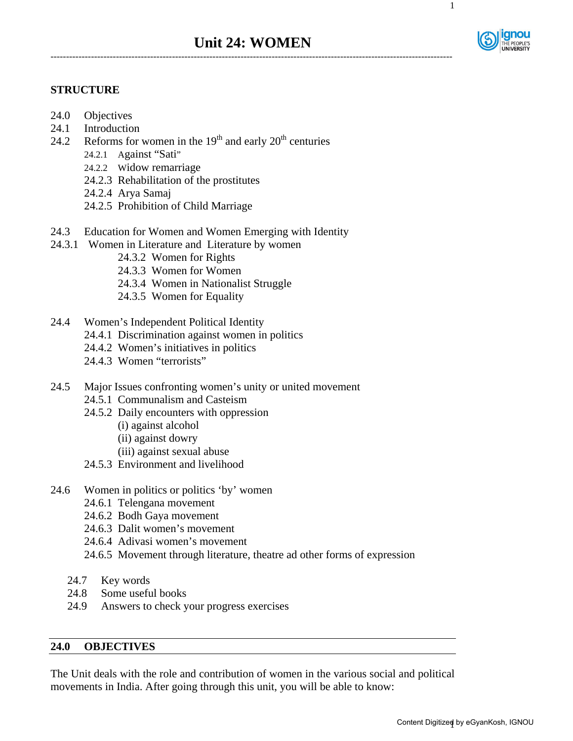

1

# **STRUCTURE**

- 24.0 Objectives
- 24.1 Introduction
- 24.2 Reforms for women in the  $19<sup>th</sup>$  and early  $20<sup>th</sup>$  centuries
	- 24.2.1 Against "Sati"
	- 24.2.2 Widow remarriage
	- 24.2.3 Rehabilitation of the prostitutes
	- 24.2.4 Arya Samaj
	- 24.2.5 Prohibition of Child Marriage
- 24.3 Education for Women and Women Emerging with Identity
- 24.3.1 Women in Literature and Literature by women
	- 24.3.2 Women for Rights
		- 24.3.3 Women for Women
		- 24.3.4 Women in Nationalist Struggle
		- 24.3.5 Women for Equality
- 24.4 Women's Independent Political Identity
	- 24.4.1 Discrimination against women in politics
	- 24.4.2 Women's initiatives in politics
	- 24.4.3 Women "terrorists"
- 24.5 Major Issues confronting women's unity or united movement
	- 24.5.1 Communalism and Casteism
	- 24.5.2 Daily encounters with oppression
		- (i) against alcohol
		- (ii) against dowry
		- (iii) against sexual abuse
	- 24.5.3 Environment and livelihood
- 24.6 Women in politics or politics 'by' women
	- 24.6.1 Telengana movement
	- 24.6.2 Bodh Gaya movement
	- 24.6.3 Dalit women's movement
	- 24.6.4 Adivasi women's movement
	- 24.6.5 Movement through literature, theatre ad other forms of expression
	- 24.7 Key words
	- 24.8 Some useful books
	- 24.9 Answers to check your progress exercises

#### **24.0 OBJECTIVES**

The Unit deals with the role and contribution of women in the various social and political movements in India. After going through this unit, you will be able to know: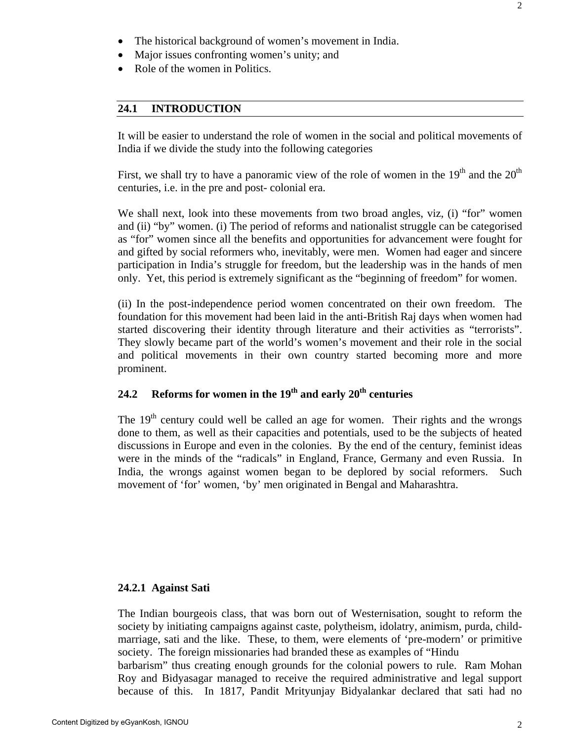- Major issues confronting women's unity; and
- Role of the women in Politics.

# **24.1 INTRODUCTION**

It will be easier to understand the role of women in the social and political movements of India if we divide the study into the following categories

First, we shall try to have a panoramic view of the role of women in the  $19<sup>th</sup>$  and the  $20<sup>th</sup>$ centuries, i.e. in the pre and post- colonial era.

We shall next, look into these movements from two broad angles, viz, (i) "for" women and (ii) "by" women. (i) The period of reforms and nationalist struggle can be categorised as "for" women since all the benefits and opportunities for advancement were fought for and gifted by social reformers who, inevitably, were men. Women had eager and sincere participation in India's struggle for freedom, but the leadership was in the hands of men only. Yet, this period is extremely significant as the "beginning of freedom" for women.

(ii) In the post-independence period women concentrated on their own freedom. The foundation for this movement had been laid in the anti-British Raj days when women had started discovering their identity through literature and their activities as "terrorists". They slowly became part of the world's women's movement and their role in the social and political movements in their own country started becoming more and more prominent.

# 24.2 Reforms for women in the 19<sup>th</sup> and early 20<sup>th</sup> centuries

The 19<sup>th</sup> century could well be called an age for women. Their rights and the wrongs done to them, as well as their capacities and potentials, used to be the subjects of heated discussions in Europe and even in the colonies. By the end of the century, feminist ideas were in the minds of the "radicals" in England, France, Germany and even Russia. In India, the wrongs against women began to be deplored by social reformers. Such movement of 'for' women, 'by' men originated in Bengal and Maharashtra.

# **24.2.1 Against Sati**

The Indian bourgeois class, that was born out of Westernisation, sought to reform the society by initiating campaigns against caste, polytheism, idolatry, animism, purda, childmarriage, sati and the like. These, to them, were elements of 'pre-modern' or primitive society. The foreign missionaries had branded these as examples of "Hindu barbarism" thus creating enough grounds for the colonial powers to rule. Ram Mohan Roy and Bidyasagar managed to receive the required administrative and legal support

because of this. In 1817, Pandit Mrityunjay Bidyalankar declared that sati had no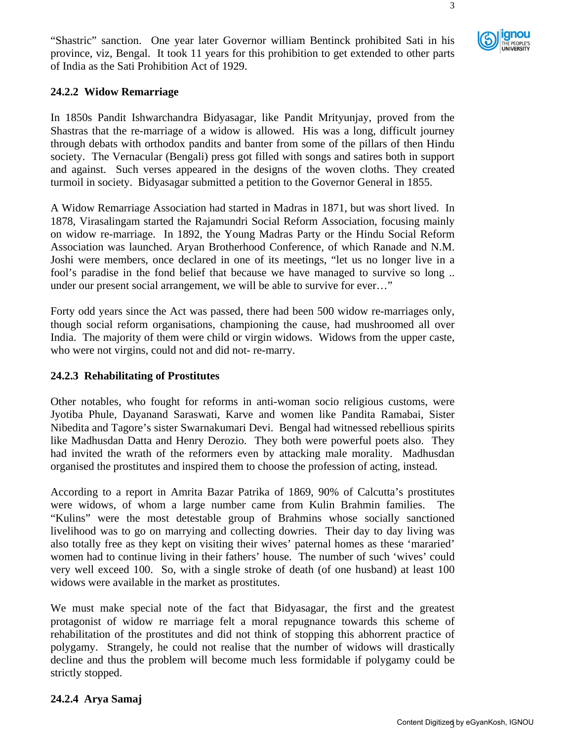"Shastric" sanction. One year later Governor william Bentinck prohibited Sati in his province, viz, Bengal. It took 11 years for this prohibition to get extended to other parts of India as the Sati Prohibition Act of 1929.

# **24.2.2 Widow Remarriage**

In 1850s Pandit Ishwarchandra Bidyasagar, like Pandit Mrityunjay, proved from the Shastras that the re-marriage of a widow is allowed. His was a long, difficult journey through debats with orthodox pandits and banter from some of the pillars of then Hindu society. The Vernacular (Bengali) press got filled with songs and satires both in support and against. Such verses appeared in the designs of the woven cloths. They created turmoil in society. Bidyasagar submitted a petition to the Governor General in 1855.

A Widow Remarriage Association had started in Madras in 1871, but was short lived. In 1878, Virasalingam started the Rajamundri Social Reform Association, focusing mainly on widow re-marriage. In 1892, the Young Madras Party or the Hindu Social Reform Association was launched. Aryan Brotherhood Conference, of which Ranade and N.M. Joshi were members, once declared in one of its meetings, "let us no longer live in a fool's paradise in the fond belief that because we have managed to survive so long .. under our present social arrangement, we will be able to survive for ever…"

Forty odd years since the Act was passed, there had been 500 widow re-marriages only, though social reform organisations, championing the cause, had mushroomed all over India. The majority of them were child or virgin widows. Widows from the upper caste, who were not virgins, could not and did not- re-marry.

# **24.2.3 Rehabilitating of Prostitutes**

Other notables, who fought for reforms in anti-woman socio religious customs, were Jyotiba Phule, Dayanand Saraswati, Karve and women like Pandita Ramabai, Sister Nibedita and Tagore's sister Swarnakumari Devi. Bengal had witnessed rebellious spirits like Madhusdan Datta and Henry Derozio. They both were powerful poets also. They had invited the wrath of the reformers even by attacking male morality. Madhusdan organised the prostitutes and inspired them to choose the profession of acting, instead.

According to a report in Amrita Bazar Patrika of 1869, 90% of Calcutta's prostitutes were widows, of whom a large number came from Kulin Brahmin families. The "Kulins" were the most detestable group of Brahmins whose socially sanctioned livelihood was to go on marrying and collecting dowries. Their day to day living was also totally free as they kept on visiting their wives' paternal homes as these 'mararied' women had to continue living in their fathers' house. The number of such 'wives' could very well exceed 100. So, with a single stroke of death (of one husband) at least 100 widows were available in the market as prostitutes.

We must make special note of the fact that Bidyasagar, the first and the greatest protagonist of widow re marriage felt a moral repugnance towards this scheme of rehabilitation of the prostitutes and did not think of stopping this abhorrent practice of polygamy. Strangely, he could not realise that the number of widows will drastically decline and thus the problem will become much less formidable if polygamy could be strictly stopped.

# **24.2.4 Arya Samaj**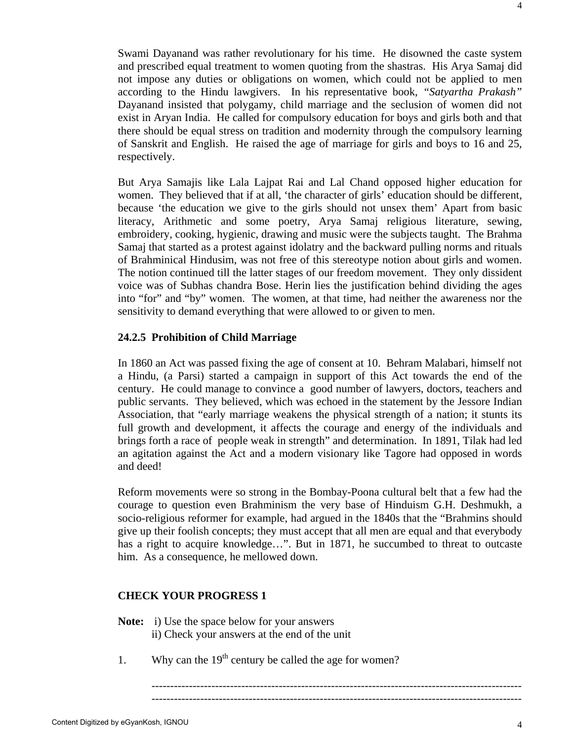4

Swami Dayanand was rather revolutionary for his time. He disowned the caste system and prescribed equal treatment to women quoting from the shastras. His Arya Samaj did not impose any duties or obligations on women, which could not be applied to men according to the Hindu lawgivers. In his representative book, *"Satyartha Prakash"* Dayanand insisted that polygamy, child marriage and the seclusion of women did not exist in Aryan India. He called for compulsory education for boys and girls both and that there should be equal stress on tradition and modernity through the compulsory learning of Sanskrit and English. He raised the age of marriage for girls and boys to 16 and 25, respectively.

But Arya Samajis like Lala Lajpat Rai and Lal Chand opposed higher education for women. They believed that if at all, 'the character of girls' education should be different, because 'the education we give to the girls should not unsex them' Apart from basic literacy, Arithmetic and some poetry, Arya Samaj religious literature, sewing, embroidery, cooking, hygienic, drawing and music were the subjects taught. The Brahma Samaj that started as a protest against idolatry and the backward pulling norms and rituals of Brahminical Hindusim, was not free of this stereotype notion about girls and women. The notion continued till the latter stages of our freedom movement. They only dissident voice was of Subhas chandra Bose. Herin lies the justification behind dividing the ages into "for" and "by" women. The women, at that time, had neither the awareness nor the sensitivity to demand everything that were allowed to or given to men.

# **24.2.5 Prohibition of Child Marriage**

In 1860 an Act was passed fixing the age of consent at 10. Behram Malabari, himself not a Hindu, (a Parsi) started a campaign in support of this Act towards the end of the century. He could manage to convince a good number of lawyers, doctors, teachers and public servants. They believed, which was echoed in the statement by the Jessore Indian Association, that "early marriage weakens the physical strength of a nation; it stunts its full growth and development, it affects the courage and energy of the individuals and brings forth a race of people weak in strength" and determination. In 1891, Tilak had led an agitation against the Act and a modern visionary like Tagore had opposed in words and deed!

Reform movements were so strong in the Bombay-Poona cultural belt that a few had the courage to question even Brahminism the very base of Hinduism G.H. Deshmukh, a socio-religious reformer for example, had argued in the 1840s that the "Brahmins should give up their foolish concepts; they must accept that all men are equal and that everybody has a right to acquire knowledge…". But in 1871, he succumbed to threat to outcaste him. As a consequence, he mellowed down.

# **CHECK YOUR PROGRESS 1**

- **Note:** i) Use the space below for your answers
	- ii) Check your answers at the end of the unit
- 1. Why can the  $19<sup>th</sup>$  century be called the age for women?

--------------------------------------------------------------------------------------------------- ---------------------------------------------------------------------------------------------------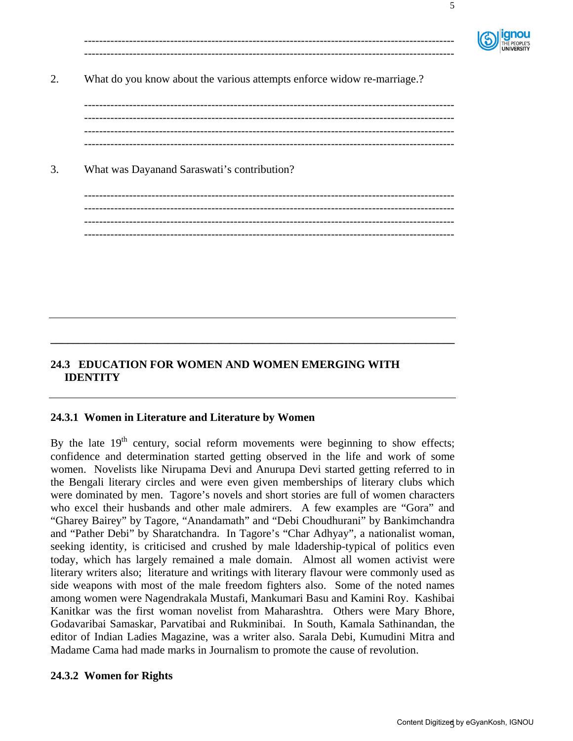

5

2. What do you know about the various attempts enforce widow re-marriage.?

--------------------------------------------------------------------------------------------------- --------------------------------------------------------------------------------------------------- --------------------------------------------------------------------------------------------------- ---------------------------------------------------------------------------------------------------

--------------------------------------------------------------------------------------------------- ---------------------------------------------------------------------------------------------------

3. What was Dayanand Saraswati's contribution?

--------------------------------------------------------------------------------------------------- --------------------------------------------------------------------------------------------------- --------------------------------------------------------------------------------------------------- ---------------------------------------------------------------------------------------------------

# **24.3 EDUCATION FOR WOMEN AND WOMEN EMERGING WITH IDENTITY**

**\_\_\_\_\_\_\_\_\_\_\_\_\_\_\_\_\_\_\_\_\_\_\_\_\_\_\_\_\_\_\_\_\_\_\_\_\_\_\_\_\_\_\_\_\_\_\_\_\_\_\_\_\_\_\_\_\_\_\_\_\_\_\_\_\_\_\_\_\_\_\_\_** 

# **24.3.1 Women in Literature and Literature by Women**

By the late  $19<sup>th</sup>$  century, social reform movements were beginning to show effects; confidence and determination started getting observed in the life and work of some women. Novelists like Nirupama Devi and Anurupa Devi started getting referred to in the Bengali literary circles and were even given memberships of literary clubs which were dominated by men. Tagore's novels and short stories are full of women characters who excel their husbands and other male admirers. A few examples are "Gora" and "Gharey Bairey" by Tagore, "Anandamath" and "Debi Choudhurani" by Bankimchandra and "Pather Debi" by Sharatchandra. In Tagore's "Char Adhyay", a nationalist woman, seeking identity, is criticised and crushed by male ldadership-typical of politics even today, which has largely remained a male domain. Almost all women activist were literary writers also; literature and writings with literary flavour were commonly used as side weapons with most of the male freedom fighters also. Some of the noted names among women were Nagendrakala Mustafi, Mankumari Basu and Kamini Roy. Kashibai Kanitkar was the first woman novelist from Maharashtra. Others were Mary Bhore, Godavaribai Samaskar, Parvatibai and Rukminibai. In South, Kamala Sathinandan, the editor of Indian Ladies Magazine, was a writer also. Sarala Debi, Kumudini Mitra and Madame Cama had made marks in Journalism to promote the cause of revolution.

# **24.3.2 Women for Rights**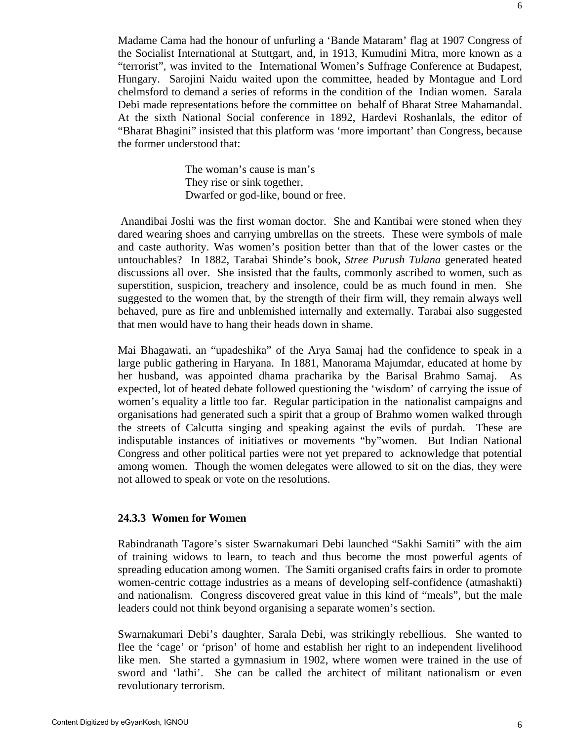Madame Cama had the honour of unfurling a 'Bande Mataram' flag at 1907 Congress of the Socialist International at Stuttgart, and, in 1913, Kumudini Mitra, more known as a "terrorist", was invited to the International Women's Suffrage Conference at Budapest, Hungary. Sarojini Naidu waited upon the committee, headed by Montague and Lord chelmsford to demand a series of reforms in the condition of the Indian women. Sarala Debi made representations before the committee on behalf of Bharat Stree Mahamandal. At the sixth National Social conference in 1892, Hardevi Roshanlals, the editor of "Bharat Bhagini" insisted that this platform was 'more important' than Congress, because the former understood that:

> The woman's cause is man's They rise or sink together, Dwarfed or god-like, bound or free.

 Anandibai Joshi was the first woman doctor. She and Kantibai were stoned when they dared wearing shoes and carrying umbrellas on the streets. These were symbols of male and caste authority. Was women's position better than that of the lower castes or the untouchables? In 1882, Tarabai Shinde's book, *Stree Purush Tulana* generated heated discussions all over. She insisted that the faults, commonly ascribed to women, such as superstition, suspicion, treachery and insolence, could be as much found in men. She suggested to the women that, by the strength of their firm will, they remain always well behaved, pure as fire and unblemished internally and externally. Tarabai also suggested that men would have to hang their heads down in shame.

Mai Bhagawati, an "upadeshika" of the Arya Samaj had the confidence to speak in a large public gathering in Haryana. In 1881, Manorama Majumdar, educated at home by her husband, was appointed dhama pracharika by the Barisal Brahmo Samaj. As expected, lot of heated debate followed questioning the 'wisdom' of carrying the issue of women's equality a little too far. Regular participation in the nationalist campaigns and organisations had generated such a spirit that a group of Brahmo women walked through the streets of Calcutta singing and speaking against the evils of purdah. These are indisputable instances of initiatives or movements "by"women. But Indian National Congress and other political parties were not yet prepared to acknowledge that potential among women. Though the women delegates were allowed to sit on the dias, they were not allowed to speak or vote on the resolutions.

#### **24.3.3 Women for Women**

Rabindranath Tagore's sister Swarnakumari Debi launched "Sakhi Samiti" with the aim of training widows to learn, to teach and thus become the most powerful agents of spreading education among women. The Samiti organised crafts fairs in order to promote women-centric cottage industries as a means of developing self-confidence (atmashakti) and nationalism. Congress discovered great value in this kind of "meals", but the male leaders could not think beyond organising a separate women's section.

Swarnakumari Debi's daughter, Sarala Debi, was strikingly rebellious. She wanted to flee the 'cage' or 'prison' of home and establish her right to an independent livelihood like men. She started a gymnasium in 1902, where women were trained in the use of sword and 'lathi'. She can be called the architect of militant nationalism or even revolutionary terrorism.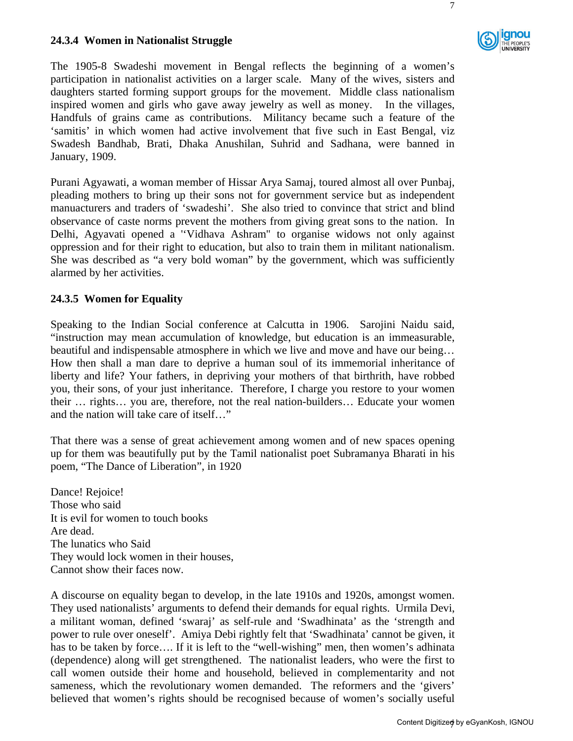# **24.3.4 Women in Nationalist Struggle**



7

The 1905-8 Swadeshi movement in Bengal reflects the beginning of a women's participation in nationalist activities on a larger scale. Many of the wives, sisters and daughters started forming support groups for the movement. Middle class nationalism inspired women and girls who gave away jewelry as well as money. In the villages, Handfuls of grains came as contributions. Militancy became such a feature of the 'samitis' in which women had active involvement that five such in East Bengal, viz Swadesh Bandhab, Brati, Dhaka Anushilan, Suhrid and Sadhana, were banned in January, 1909.

Purani Agyawati, a woman member of Hissar Arya Samaj, toured almost all over Punbaj, pleading mothers to bring up their sons not for government service but as independent manuacturers and traders of 'swadeshi'. She also tried to convince that strict and blind observance of caste norms prevent the mothers from giving great sons to the nation. In Delhi, Agyavati opened a ''Vidhava Ashram" to organise widows not only against oppression and for their right to education, but also to train them in militant nationalism. She was described as "a very bold woman" by the government, which was sufficiently alarmed by her activities.

# **24.3.5 Women for Equality**

Speaking to the Indian Social conference at Calcutta in 1906. Sarojini Naidu said, "instruction may mean accumulation of knowledge, but education is an immeasurable, beautiful and indispensable atmosphere in which we live and move and have our being… How then shall a man dare to deprive a human soul of its immemorial inheritance of liberty and life? Your fathers, in depriving your mothers of that birthrith, have robbed you, their sons, of your just inheritance. Therefore, I charge you restore to your women their … rights… you are, therefore, not the real nation-builders… Educate your women and the nation will take care of itself…"

That there was a sense of great achievement among women and of new spaces opening up for them was beautifully put by the Tamil nationalist poet Subramanya Bharati in his poem, "The Dance of Liberation", in 1920

Dance! Rejoice! Those who said It is evil for women to touch books Are dead. The lunatics who Said They would lock women in their houses, Cannot show their faces now.

A discourse on equality began to develop, in the late 1910s and 1920s, amongst women. They used nationalists' arguments to defend their demands for equal rights. Urmila Devi, a militant woman, defined 'swaraj' as self-rule and 'Swadhinata' as the 'strength and power to rule over oneself'. Amiya Debi rightly felt that 'Swadhinata' cannot be given, it has to be taken by force…. If it is left to the "well-wishing" men, then women's adhinata (dependence) along will get strengthened. The nationalist leaders, who were the first to call women outside their home and household, believed in complementarity and not sameness, which the revolutionary women demanded. The reformers and the 'givers' believed that women's rights should be recognised because of women's socially useful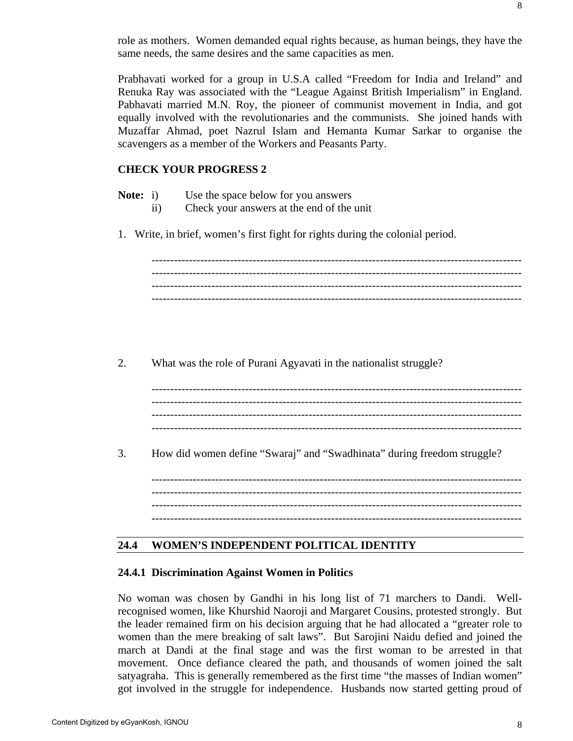role as mothers. Women demanded equal rights because, as human beings, they have the same needs, the same desires and the same capacities as men.

Prabhavati worked for a group in U.S.A called "Freedom for India and Ireland" and Renuka Ray was associated with the "League Against British Imperialism" in England. Pabhavati married M.N. Roy, the pioneer of communist movement in India, and got equally involved with the revolutionaries and the communists. She joined hands with Muzaffar Ahmad, poet Nazrul Islam and Hemanta Kumar Sarkar to organise the scavengers as a member of the Workers and Peasants Party.

# **CHECK YOUR PROGRESS 2**

- **Note:** i) Use the space below for you answers
	- ii) Check your answers at the end of the unit
- 1. Write, in brief, women's first fight for rights during the colonial period.

--------------------------------------------------------------------------------------------------- --------------------------------------------------------------------------------------------------- ---------------------------------------------------------------------------------------------------

2. What was the role of Purani Agyavati in the nationalist struggle?

--------------------------------------------------------------------------------------------------- ---------------------------------------------------------------------------------------------------

3. How did women define "Swaraj" and "Swadhinata" during freedom struggle?

--------------------------------------------------------------------------------------------------- --------------------------------------------------------------------------------------------------- --------------------------------------------------------------------------------------------------- ---------------------------------------------------------------------------------------------------

### **24.4 WOMEN'S INDEPENDENT POLITICAL IDENTITY**

#### **24.4.1 Discrimination Against Women in Politics**

No woman was chosen by Gandhi in his long list of 71 marchers to Dandi. Wellrecognised women, like Khurshid Naoroji and Margaret Cousins, protested strongly. But the leader remained firm on his decision arguing that he had allocated a "greater role to women than the mere breaking of salt laws". But Sarojini Naidu defied and joined the march at Dandi at the final stage and was the first woman to be arrested in that movement. Once defiance cleared the path, and thousands of women joined the salt satyagraha. This is generally remembered as the first time "the masses of Indian women" got involved in the struggle for independence. Husbands now started getting proud of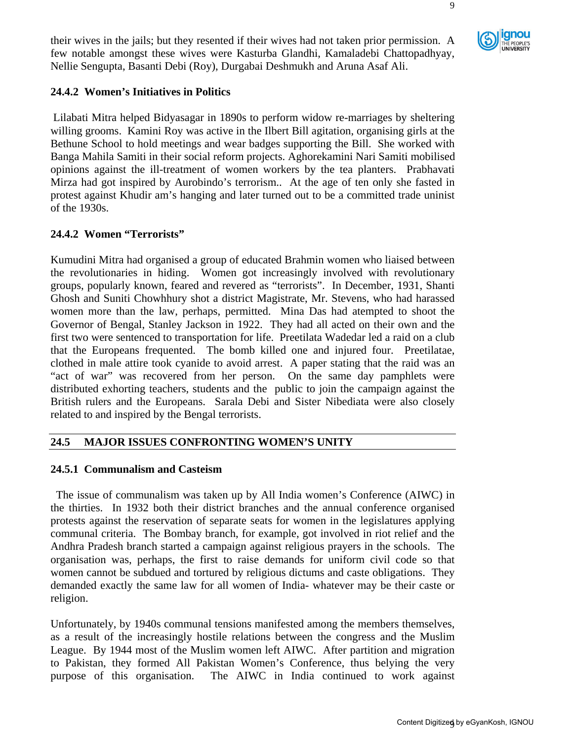their wives in the jails; but they resented if their wives had not taken prior permission. A few notable amongst these wives were Kasturba Glandhi, Kamaladebi Chattopadhyay, Nellie Sengupta, Basanti Debi (Roy), Durgabai Deshmukh and Aruna Asaf Ali.

# **24.4.2 Women's Initiatives in Politics**

 Lilabati Mitra helped Bidyasagar in 1890s to perform widow re-marriages by sheltering willing grooms. Kamini Roy was active in the Ilbert Bill agitation, organising girls at the Bethune School to hold meetings and wear badges supporting the Bill. She worked with Banga Mahila Samiti in their social reform projects. Aghorekamini Nari Samiti mobilised opinions against the ill-treatment of women workers by the tea planters. Prabhavati Mirza had got inspired by Aurobindo's terrorism.. At the age of ten only she fasted in protest against Khudir am's hanging and later turned out to be a committed trade uninist of the 1930s.

# **24.4.2 Women "Terrorists"**

Kumudini Mitra had organised a group of educated Brahmin women who liaised between the revolutionaries in hiding. Women got increasingly involved with revolutionary groups, popularly known, feared and revered as "terrorists". In December, 1931, Shanti Ghosh and Suniti Chowhhury shot a district Magistrate, Mr. Stevens, who had harassed women more than the law, perhaps, permitted. Mina Das had atempted to shoot the Governor of Bengal, Stanley Jackson in 1922. They had all acted on their own and the first two were sentenced to transportation for life. Preetilata Wadedar led a raid on a club that the Europeans frequented. The bomb killed one and injured four. Preetilatae, clothed in male attire took cyanide to avoid arrest. A paper stating that the raid was an "act of war" was recovered from her person. On the same day pamphlets were distributed exhorting teachers, students and the public to join the campaign against the British rulers and the Europeans. Sarala Debi and Sister Nibediata were also closely related to and inspired by the Bengal terrorists.

# **24.5 MAJOR ISSUES CONFRONTING WOMEN'S UNITY**

# **24.5.1 Communalism and Casteism**

 The issue of communalism was taken up by All India women's Conference (AIWC) in the thirties. In 1932 both their district branches and the annual conference organised protests against the reservation of separate seats for women in the legislatures applying communal criteria. The Bombay branch, for example, got involved in riot relief and the Andhra Pradesh branch started a campaign against religious prayers in the schools. The organisation was, perhaps, the first to raise demands for uniform civil code so that women cannot be subdued and tortured by religious dictums and caste obligations. They demanded exactly the same law for all women of India- whatever may be their caste or religion.

Unfortunately, by 1940s communal tensions manifested among the members themselves, as a result of the increasingly hostile relations between the congress and the Muslim League. By 1944 most of the Muslim women left AIWC. After partition and migration to Pakistan, they formed All Pakistan Women's Conference, thus belying the very purpose of this organisation. The AIWC in India continued to work against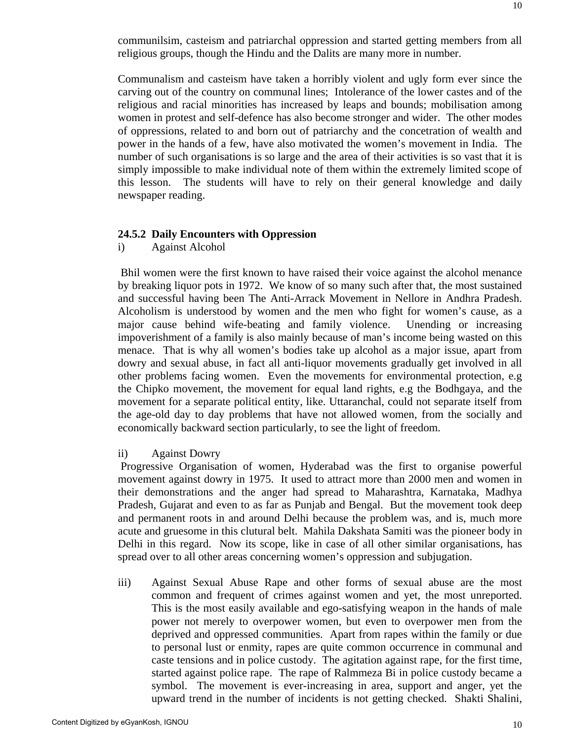communilsim, casteism and patriarchal oppression and started getting members from all religious groups, though the Hindu and the Dalits are many more in number.

Communalism and casteism have taken a horribly violent and ugly form ever since the carving out of the country on communal lines; Intolerance of the lower castes and of the religious and racial minorities has increased by leaps and bounds; mobilisation among women in protest and self-defence has also become stronger and wider. The other modes of oppressions, related to and born out of patriarchy and the concetration of wealth and power in the hands of a few, have also motivated the women's movement in India. The number of such organisations is so large and the area of their activities is so vast that it is simply impossible to make individual note of them within the extremely limited scope of this lesson. The students will have to rely on their general knowledge and daily newspaper reading.

#### **24.5.2 Daily Encounters with Oppression**

i) Against Alcohol

 Bhil women were the first known to have raised their voice against the alcohol menance by breaking liquor pots in 1972. We know of so many such after that, the most sustained and successful having been The Anti-Arrack Movement in Nellore in Andhra Pradesh. Alcoholism is understood by women and the men who fight for women's cause, as a major cause behind wife-beating and family violence. Unending or increasing impoverishment of a family is also mainly because of man's income being wasted on this menace. That is why all women's bodies take up alcohol as a major issue, apart from dowry and sexual abuse, in fact all anti-liquor movements gradually get involved in all other problems facing women. Even the movements for environmental protection, e.g the Chipko movement, the movement for equal land rights, e.g the Bodhgaya, and the movement for a separate political entity, like. Uttaranchal, could not separate itself from the age-old day to day problems that have not allowed women, from the socially and economically backward section particularly, to see the light of freedom.

# ii) Against Dowry

 Progressive Organisation of women, Hyderabad was the first to organise powerful movement against dowry in 1975. It used to attract more than 2000 men and women in their demonstrations and the anger had spread to Maharashtra, Karnataka, Madhya Pradesh, Gujarat and even to as far as Punjab and Bengal. But the movement took deep and permanent roots in and around Delhi because the problem was, and is, much more acute and gruesome in this clutural belt. Mahila Dakshata Samiti was the pioneer body in Delhi in this regard. Now its scope, like in case of all other similar organisations, has spread over to all other areas concerning women's oppression and subjugation.

iii) Against Sexual Abuse Rape and other forms of sexual abuse are the most common and frequent of crimes against women and yet, the most unreported. This is the most easily available and ego-satisfying weapon in the hands of male power not merely to overpower women, but even to overpower men from the deprived and oppressed communities. Apart from rapes within the family or due to personal lust or enmity, rapes are quite common occurrence in communal and caste tensions and in police custody. The agitation against rape, for the first time, started against police rape. The rape of Ralmmeza Bi in police custody became a symbol. The movement is ever-increasing in area, support and anger, yet the upward trend in the number of incidents is not getting checked. Shakti Shalini,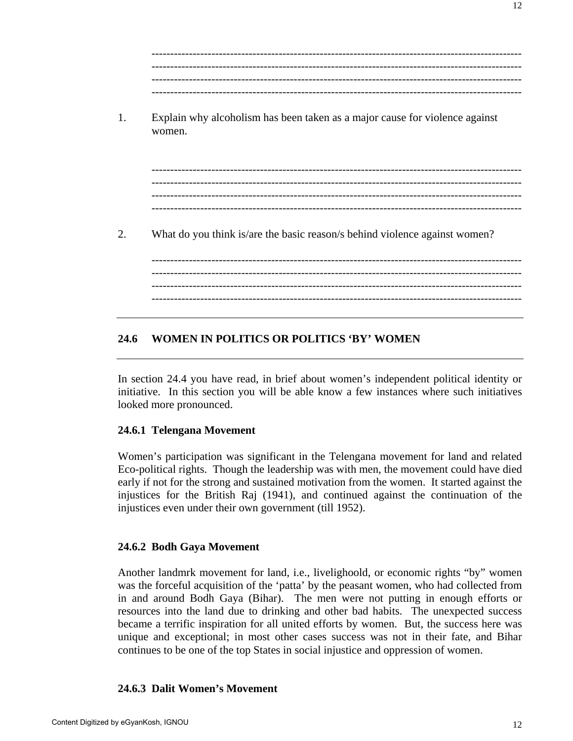--------------------------------------------------------------------------------------------------- --------------------------------------------------------------------------------------------------- --------------------------------------------------------------------------------------------------- ---------------------------------------------------------------------------------------------------

1. Explain why alcoholism has been taken as a major cause for violence against women.

--------------------------------------------------------------------------------------------------- --------------------------------------------------------------------------------------------------- --------------------------------------------------------------------------------------------------- ---------------------------------------------------------------------------------------------------

2. What do you think is/are the basic reason/s behind violence against women?

--------------------------------------------------------------------------------------------------- --------------------------------------------------------------------------------------------------- --------------------------------------------------------------------------------------------------- ---------------------------------------------------------------------------------------------------

# **24.6 WOMEN IN POLITICS OR POLITICS 'BY' WOMEN**

In section 24.4 you have read, in brief about women's independent political identity or initiative. In this section you will be able know a few instances where such initiatives looked more pronounced.

# **24.6.1 Telengana Movement**

Women's participation was significant in the Telengana movement for land and related Eco-political rights. Though the leadership was with men, the movement could have died early if not for the strong and sustained motivation from the women. It started against the injustices for the British Raj (1941), and continued against the continuation of the injustices even under their own government (till 1952).

# **24.6.2 Bodh Gaya Movement**

Another landmrk movement for land, i.e., livelighoold, or economic rights "by" women was the forceful acquisition of the 'patta' by the peasant women, who had collected from in and around Bodh Gaya (Bihar). The men were not putting in enough efforts or resources into the land due to drinking and other bad habits. The unexpected success became a terrific inspiration for all united efforts by women. But, the success here was unique and exceptional; in most other cases success was not in their fate, and Bihar continues to be one of the top States in social injustice and oppression of women.

# **24.6.3 Dalit Women's Movement**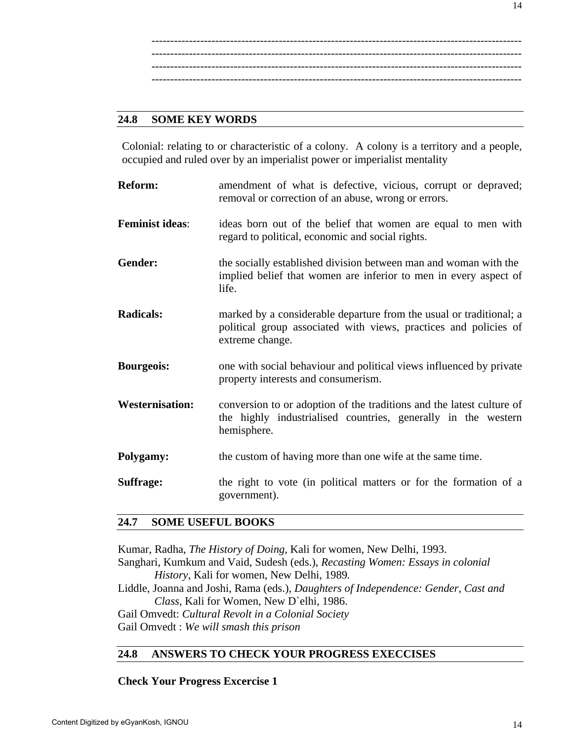--------------------------------------------------------------------------------------------------- --------------------------------------------------------------------------------------------------- --------------------------------------------------------------------------------------------------- ---------------------------------------------------------------------------------------------------

#### **24.8 SOME KEY WORDS**

Colonial: relating to or characteristic of a colony. A colony is a territory and a people, occupied and ruled over by an imperialist power or imperialist mentality

| <b>Reform:</b>         | amendment of what is defective, vicious, corrupt or depraved;<br>removal or correction of an abuse, wrong or errors.                                       |
|------------------------|------------------------------------------------------------------------------------------------------------------------------------------------------------|
| <b>Feminist ideas:</b> | ideas born out of the belief that women are equal to men with<br>regard to political, economic and social rights.                                          |
| Gender:                | the socially established division between man and woman with the<br>implied belief that women are inferior to men in every aspect of<br>life.              |
| <b>Radicals:</b>       | marked by a considerable departure from the usual or traditional; a<br>political group associated with views, practices and policies of<br>extreme change. |
| <b>Bourgeois:</b>      | one with social behaviour and political views influenced by private<br>property interests and consumerism.                                                 |
| <b>Westernisation:</b> | conversion to or adoption of the traditions and the latest culture of<br>the highly industrialised countries, generally in the western<br>hemisphere.      |
| Polygamy:              | the custom of having more than one wife at the same time.                                                                                                  |
| <b>Suffrage:</b>       | the right to vote (in political matters or for the formation of a<br>government).                                                                          |

#### **24.7 SOME USEFUL BOOKS**

Kumar, Radha, *The History of Doing*, Kali for women, New Delhi, 1993.

Sanghari, Kumkum and Vaid, Sudesh (eds.), *Recasting Women: Essays in colonial History*, Kali for women, New Delhi, 1989*.* 

Liddle, Joanna and Joshi, Rama (eds.), *Daughters of Independence: Gender, Cast and Class,* Kali for Women, New D`elhi, 1986.

Gail Omvedt: *Cultural Revolt in a Colonial Society* Gail Omvedt : *We will smash this prison* 

# **24.8 ANSWERS TO CHECK YOUR PROGRESS EXECCISES**

**Check Your Progress Excercise 1**